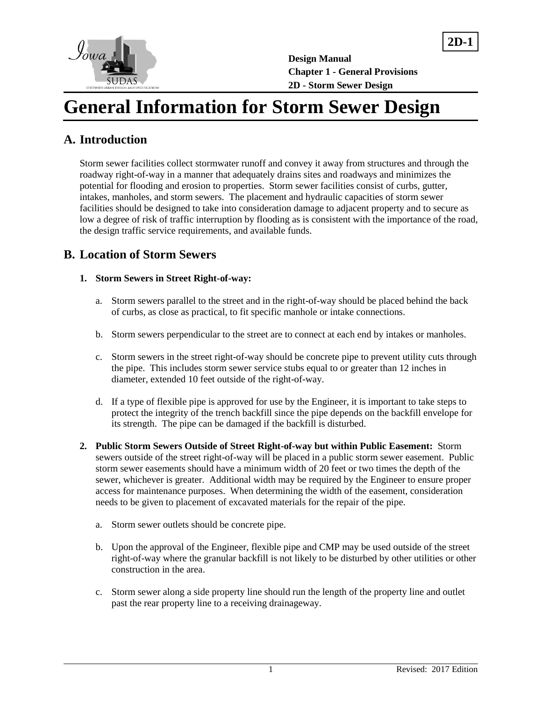

**2D-1**

# **General Information for Storm Sewer Design**

# **A. Introduction**

Storm sewer facilities collect stormwater runoff and convey it away from structures and through the roadway right-of-way in a manner that adequately drains sites and roadways and minimizes the potential for flooding and erosion to properties. Storm sewer facilities consist of curbs, gutter, intakes, manholes, and storm sewers. The placement and hydraulic capacities of storm sewer facilities should be designed to take into consideration damage to adjacent property and to secure as low a degree of risk of traffic interruption by flooding as is consistent with the importance of the road, the design traffic service requirements, and available funds.

## **B. Location of Storm Sewers**

#### **1. Storm Sewers in Street Right-of-way:**

- a. Storm sewers parallel to the street and in the right-of-way should be placed behind the back of curbs, as close as practical, to fit specific manhole or intake connections.
- b. Storm sewers perpendicular to the street are to connect at each end by intakes or manholes.
- c. Storm sewers in the street right-of-way should be concrete pipe to prevent utility cuts through the pipe. This includes storm sewer service stubs equal to or greater than 12 inches in diameter, extended 10 feet outside of the right-of-way.
- d. If a type of flexible pipe is approved for use by the Engineer, it is important to take steps to protect the integrity of the trench backfill since the pipe depends on the backfill envelope for its strength. The pipe can be damaged if the backfill is disturbed.
- **2. Public Storm Sewers Outside of Street Right-of-way but within Public Easement:** Storm sewers outside of the street right-of-way will be placed in a public storm sewer easement. Public storm sewer easements should have a minimum width of 20 feet or two times the depth of the sewer, whichever is greater. Additional width may be required by the Engineer to ensure proper access for maintenance purposes. When determining the width of the easement, consideration needs to be given to placement of excavated materials for the repair of the pipe.
	- a. Storm sewer outlets should be concrete pipe.
	- b. Upon the approval of the Engineer, flexible pipe and CMP may be used outside of the street right-of-way where the granular backfill is not likely to be disturbed by other utilities or other construction in the area.
	- c. Storm sewer along a side property line should run the length of the property line and outlet past the rear property line to a receiving drainageway.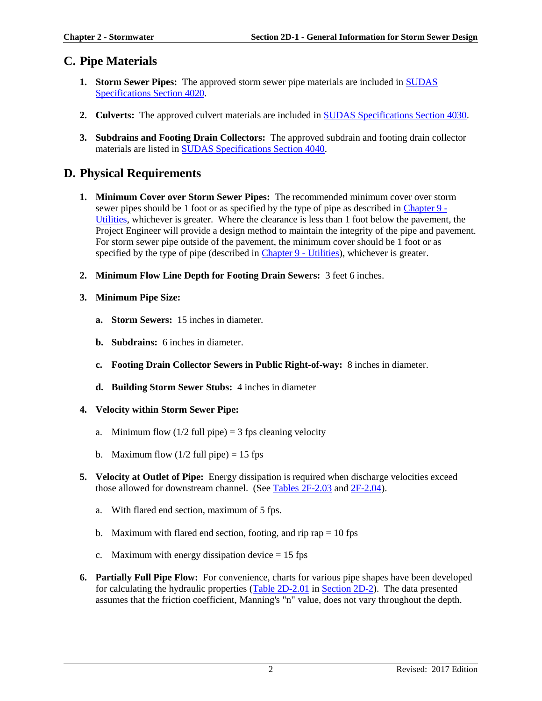## **C. Pipe Materials**

- **1. Storm Sewer Pipes:** The approved storm sewer pipe materials are included in [SUDAS](https://intrans.iastate.edu/app/uploads/sites/15/2020/02/4020.pdf)  [Specifications Section 4020.](https://intrans.iastate.edu/app/uploads/sites/15/2020/02/4020.pdf)
- **2. Culverts:** The approved culvert materials are included in [SUDAS Specifications Section 4030.](https://intrans.iastate.edu/app/uploads/sites/15/2020/02/4030.pdf)
- **3. Subdrains and Footing Drain Collectors:** The approved subdrain and footing drain collector materials are listed in [SUDAS Specifications Section 4040.](https://intrans.iastate.edu/app/uploads/sites/15/2020/02/4040.pdf)

### **D. Physical Requirements**

- **1. Minimum Cover over Storm Sewer Pipes:** The recommended minimum cover over storm sewer pipes should be 1 foot or as specified by the type of pipe as described in [Chapter 9](https://intrans.iastate.edu/app/uploads/sites/15/2020/03/Chapter_09.pdf) - [Utilities,](https://intrans.iastate.edu/app/uploads/sites/15/2020/03/Chapter_09.pdf) whichever is greater. Where the clearance is less than 1 foot below the pavement, the Project Engineer will provide a design method to maintain the integrity of the pipe and pavement. For storm sewer pipe outside of the pavement, the minimum cover should be 1 foot or as specified by the type of pipe (described in [Chapter 9 -](https://intrans.iastate.edu/app/uploads/sites/15/2020/03/Chapter_09.pdf) Utilities), whichever is greater.
- **2. Minimum Flow Line Depth for Footing Drain Sewers:** 3 feet 6 inches.
- **3. Minimum Pipe Size:**
	- **a. Storm Sewers:** 15 inches in diameter.
	- **b. Subdrains:** 6 inches in diameter.
	- **c. Footing Drain Collector Sewers in Public Right-of-way:** 8 inches in diameter.
	- **d. Building Storm Sewer Stubs:** 4 inches in diameter

#### **4. Velocity within Storm Sewer Pipe:**

- a. Minimum flow  $(1/2$  full pipe) = 3 fps cleaning velocity
- b. Maximum flow  $(1/2$  full pipe) = 15 fps
- **5. Velocity at Outlet of Pipe:** Energy dissipation is required when discharge velocities exceed those allowed for downstream channel. (See [Tables 2F-2.03](https://intrans.iastate.edu/app/uploads/sites/15/2020/03/2F-2.pdf#page=10) and [2F-2.04\)](https://intrans.iastate.edu/app/uploads/sites/15/2020/03/2F-2.pdf#page=11).
	- a. With flared end section, maximum of 5 fps.
	- b. Maximum with flared end section, footing, and rip rap  $= 10$  fps
	- c. Maximum with energy dissipation device  $= 15$  fps
- **6. Partially Full Pipe Flow:** For convenience, charts for various pipe shapes have been developed for calculating the hydraulic properties [\(Table 2D-2.01](https://intrans.iastate.edu/app/uploads/sites/15/2020/03/2D-2.pdf#page=3) i[n Section 2D-2\)](https://intrans.iastate.edu/app/uploads/sites/15/2020/03/2D-2.pdf). The data presented assumes that the friction coefficient, Manning's "n" value, does not vary throughout the depth.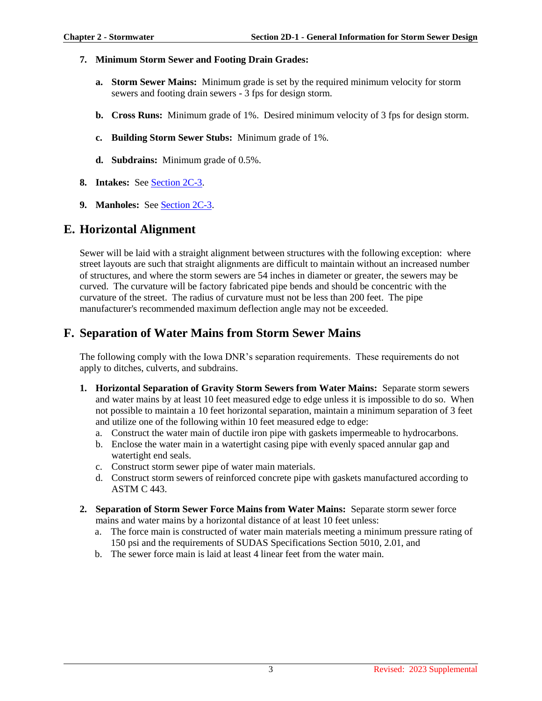#### **7. Minimum Storm Sewer and Footing Drain Grades:**

- **a. Storm Sewer Mains:** Minimum grade is set by the required minimum velocity for storm sewers and footing drain sewers - 3 fps for design storm.
- **b. Cross Runs:** Minimum grade of 1%. Desired minimum velocity of 3 fps for design storm.
- **c. Building Storm Sewer Stubs:** Minimum grade of 1%.
- **d. Subdrains:** Minimum grade of 0.5%.
- **8. Intakes:** See [Section 2C-3.](https://intrans.iastate.edu/app/uploads/sites/15/2020/03/2C-3.pdf)
- **9. Manholes:** Se[e Section 2C-3.](https://intrans.iastate.edu/app/uploads/sites/15/2020/03/2C-3.pdf)

## **E. Horizontal Alignment**

Sewer will be laid with a straight alignment between structures with the following exception: where street layouts are such that straight alignments are difficult to maintain without an increased number of structures, and where the storm sewers are 54 inches in diameter or greater, the sewers may be curved. The curvature will be factory fabricated pipe bends and should be concentric with the curvature of the street. The radius of curvature must not be less than 200 feet. The pipe manufacturer's recommended maximum deflection angle may not be exceeded.

# **F. Separation of Water Mains from Storm Sewer Mains**

The following comply with the Iowa DNR's separation requirements. These requirements do not apply to ditches, culverts, and subdrains.

- **1. Horizontal Separation of Gravity Storm Sewers from Water Mains:** Separate storm sewers and water mains by at least 10 feet measured edge to edge unless it is impossible to do so. When not possible to maintain a 10 feet horizontal separation, maintain a minimum separation of 3 feet and utilize one of the following within 10 feet measured edge to edge:
	- a. Construct the water main of ductile iron pipe with gaskets impermeable to hydrocarbons.
	- b. Enclose the water main in a watertight casing pipe with evenly spaced annular gap and watertight end seals.
	- c. Construct storm sewer pipe of water main materials.
	- d. Construct storm sewers of reinforced concrete pipe with gaskets manufactured according to ASTM C 443.
- **2. Separation of Storm Sewer Force Mains from Water Mains:** Separate storm sewer force mains and water mains by a horizontal distance of at least 10 feet unless:
	- a. The force main is constructed of water main materials meeting a minimum pressure rating of 150 psi and the requirements of SUDAS Specifications Section 5010, 2.01, and
	- b. The sewer force main is laid at least 4 linear feet from the water main.